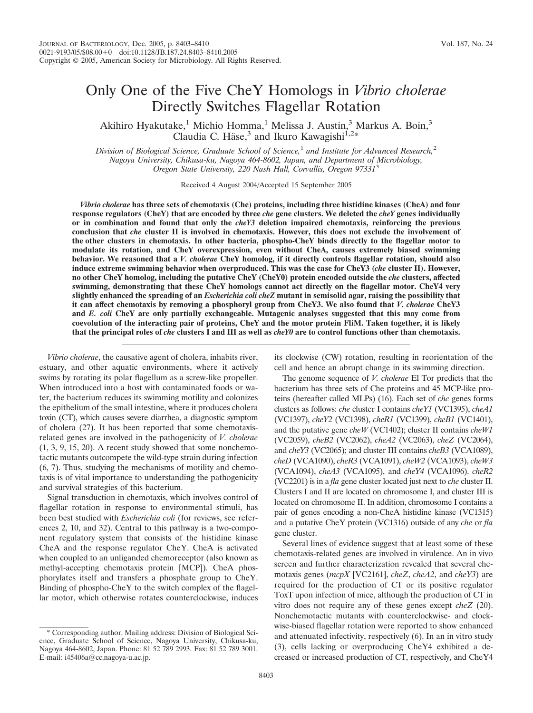# Only One of the Five CheY Homologs in *Vibrio cholerae* Directly Switches Flagellar Rotation

Akihiro Hyakutake,<sup>1</sup> Michio Homma,<sup>1</sup> Melissa J. Austin,<sup>3</sup> Markus A. Boin,<sup>3</sup> Claudia C. Häse,<sup>3</sup> and Ikuro Kawagishi<sup>1,2\*</sup>

*Division of Biological Science, Graduate School of Science,*<sup>1</sup> *and Institute for Advanced Research,*<sup>2</sup> *Nagoya University, Chikusa-ku, Nagoya 464-8602, Japan, and Department of Microbiology, Oregon State University, 220 Nash Hall, Corvallis, Oregon 97331*<sup>3</sup>

Received 4 August 2004/Accepted 15 September 2005

*Vibrio cholerae* **has three sets of chemotaxis (Che) proteins, including three histidine kinases (CheA) and four response regulators (CheY) that are encoded by three** *che* **gene clusters. We deleted the** *cheY* **genes individually or in combination and found that only the** *cheY3* **deletion impaired chemotaxis, reinforcing the previous conclusion that** *che* **cluster II is involved in chemotaxis. However, this does not exclude the involvement of the other clusters in chemotaxis. In other bacteria, phospho-CheY binds directly to the flagellar motor to modulate its rotation, and CheY overexpression, even without CheA, causes extremely biased swimming behavior. We reasoned that a** *V. cholerae* **CheY homolog, if it directly controls flagellar rotation, should also induce extreme swimming behavior when overproduced. This was the case for CheY3 (***che* **cluster II). However, no other CheY homolog, including the putative CheY (CheY0) protein encoded outside the** *che* **clusters, affected swimming, demonstrating that these CheY homologs cannot act directly on the flagellar motor. CheY4 very slightly enhanced the spreading of an** *Escherichia coli cheZ* **mutant in semisolid agar, raising the possibility that it can affect chemotaxis by removing a phosphoryl group from CheY3. We also found that** *V. cholerae* **CheY3 and** *E. coli* **CheY are only partially exchangeable. Mutagenic analyses suggested that this may come from coevolution of the interacting pair of proteins, CheY and the motor protein FliM. Taken together, it is likely that the principal roles of** *che* **clusters I and III as well as** *cheY0* **are to control functions other than chemotaxis.**

*Vibrio cholerae*, the causative agent of cholera, inhabits river, estuary, and other aquatic environments, where it actively swims by rotating its polar flagellum as a screw-like propeller. When introduced into a host with contaminated foods or water, the bacterium reduces its swimming motility and colonizes the epithelium of the small intestine, where it produces cholera toxin (CT), which causes severe diarrhea, a diagnostic symptom of cholera (27). It has been reported that some chemotaxisrelated genes are involved in the pathogenicity of *V. cholerae* (1, 3, 9, 15, 20). A recent study showed that some nonchemotactic mutants outcompete the wild-type strain during infection (6, 7). Thus, studying the mechanisms of motility and chemotaxis is of vital importance to understanding the pathogenicity and survival strategies of this bacterium.

Signal transduction in chemotaxis, which involves control of flagellar rotation in response to environmental stimuli, has been best studied with *Escherichia coli* (for reviews, see references 2, 10, and 32). Central to this pathway is a two-component regulatory system that consists of the histidine kinase CheA and the response regulator CheY. CheA is activated when coupled to an unliganded chemoreceptor (also known as methyl-accepting chemotaxis protein [MCP]). CheA phosphorylates itself and transfers a phosphate group to CheY. Binding of phospho-CheY to the switch complex of the flagellar motor, which otherwise rotates counterclockwise, induces its clockwise (CW) rotation, resulting in reorientation of the cell and hence an abrupt change in its swimming direction.

The genome sequence of *V. cholerae* El Tor predicts that the bacterium has three sets of Che proteins and 45 MCP-like proteins (hereafter called MLPs) (16). Each set of *che* genes forms clusters as follows: *che* cluster I contains *cheY1* (VC1395), *cheA1* (VC1397), *cheY2* (VC1398), *cheR1* (VC1399), *cheB1* (VC1401), and the putative gene *cheW* (VC1402); cluster II contains *cheW1* (VC2059), *cheB2* (VC2062), *cheA2* (VC2063), *cheZ* (VC2064), and *cheY3* (VC2065); and cluster III contains *cheB3* (VCA1089), *cheD* (VCA1090), *cheR3* (VCA1091), *cheW2* (VCA1093), *cheW3* (VCA1094), *cheA3* (VCA1095), and *cheY4* (VCA1096). *cheR2* (VC2201) is in a *fla* gene cluster located just next to *che* cluster II. Clusters I and II are located on chromosome I, and cluster III is located on chromosome II. In addition, chromosome I contains a pair of genes encoding a non-CheA histidine kinase (VC1315) and a putative CheY protein (VC1316) outside of any *che* or *fla* gene cluster.

Several lines of evidence suggest that at least some of these chemotaxis-related genes are involved in virulence. An in vivo screen and further characterization revealed that several chemotaxis genes (*mcpX* [VC2161], *cheZ*, *cheA2*, and *cheY3*) are required for the production of CT or its positive regulator ToxT upon infection of mice, although the production of CT in vitro does not require any of these genes except *cheZ* (20). Nonchemotactic mutants with counterclockwise- and clockwise-biased flagellar rotation were reported to show enhanced and attenuated infectivity, respectively (6). In an in vitro study (3), cells lacking or overproducing CheY4 exhibited a decreased or increased production of CT, respectively, and CheY4

<sup>\*</sup> Corresponding author. Mailing address: Division of Biological Science, Graduate School of Science, Nagoya University, Chikusa-ku, Nagoya 464-8602, Japan. Phone: 81 52 789 2993. Fax: 81 52 789 3001. E-mail: i45406a@cc.nagoya-u.ac.jp.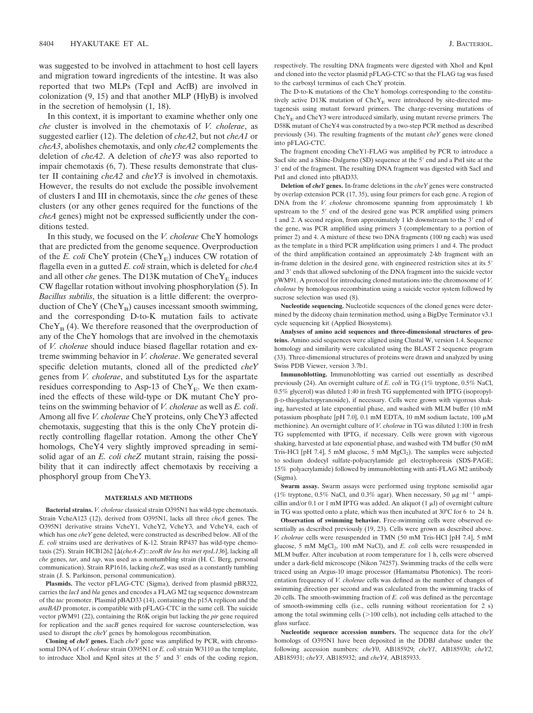was suggested to be involved in attachment to host cell layers and migration toward ingredients of the intestine. It was also reported that two MLPs (TcpI and AcfB) are involved in colonization (9, 15) and that another MLP (HlyB) is involved in the secretion of hemolysin (1, 18).

In this context, it is important to examine whether only one *che* cluster is involved in the chemotaxis of *V. cholerae*, as suggested earlier (12). The deletion of *cheA2*, but not *cheA1* or *cheA3*, abolishes chemotaxis, and only *cheA2* complements the deletion of *cheA2*. A deletion of *cheY3* was also reported to impair chemotaxis (6, 7). These results demonstrate that cluster II containing *cheA2* and *cheY3* is involved in chemotaxis. However, the results do not exclude the possible involvement of clusters I and III in chemotaxis, since the *che* genes of these clusters (or any other genes required for the functions of the *cheA* genes) might not be expressed sufficiently under the conditions tested.

In this study, we focused on the *V. cholerae* CheY homologs that are predicted from the genome sequence. Overproduction of the *E. coli* CheY protein (CheY<sub>E</sub>) induces CW rotation of flagella even in a gutted *E. coli* strain, which is deleted for *cheA* and all other *che* genes. The D13K mutation of  $CheY<sub>E</sub>$  induces CW flagellar rotation without involving phosphorylation (5). In *Bacillus subtilis*, the situation is a little different: the overproduction of  $CheY (CheY_B)$  causes incessant smooth swimming, and the corresponding D-to-K mutation fails to activate Che $Y_B$  (4). We therefore reasoned that the overproduction of any of the CheY homologs that are involved in the chemotaxis of *V. cholerae* should induce biased flagellar rotation and extreme swimming behavior in *V. cholerae*. We generated several specific deletion mutants, cloned all of the predicted *cheY* genes from *V. cholerae*, and substituted Lys for the aspartate residues corresponding to Asp-13 of Che $Y_E$ . We then examined the effects of these wild-type or DK mutant CheY proteins on the swimming behavior of *V. cholerae* as well as *E. coli*. Among all five *V. cholerae* CheY proteins, only CheY3 affected chemotaxis, suggesting that this is the only CheY protein directly controlling flagellar rotation. Among the other CheY homologs, CheY4 very slightly improved spreading in semisolid agar of an *E. coli cheZ* mutant strain, raising the possibility that it can indirectly affect chemotaxis by receiving a phosphoryl group from CheY3.

#### **MATERIALS AND METHODS**

**Bacterial strains.** *V. cholerae* classical strain O395N1 has wild-type chemotaxis. Strain VcheA123 (12), derived from O395N1, lacks all three *cheA* genes. The O395N1 derivative strains VcheY1, VcheY2, VcheY3, and VcheY4, each of which has one *cheY* gene deleted, were constructed as described below. All of the *E. coli* strains used are derivatives of K-12. Strain RP437 has wild-type chemotaxis (25). Strain HCB1262 [ $\Delta$ (*cheA-Z*)::*zeoR thr leu his met rpsL136*], lacking all *che* genes, *tar*, and *tap*, was used as a nontumbling strain (H. C. Berg, personal communication). Strain RP1616, lacking *cheZ*, was used as a constantly tumbling strain (J. S. Parkinson, personal communication).

**Plasmids.** The vector pFLAG-CTC (Sigma), derived from plasmid pBR322, carries the *lacI* and *bla* genes and encodes a FLAG M2 tag sequence downstream of the *tac* promoter. Plasmid pBAD33 (14), containing the p15A replicon and the *araBAD* promoter, is compatible with pFLAG-CTC in the same cell. The suicide vector pWM91 (22), containing the R6K origin but lacking the *pir* gene required for replication and the *sacB* genes required for sucrose counterselection, was used to disrupt the *cheY* genes by homologous recombination.

**Cloning of** *cheY* **genes.** Each *cheY* gene was amplified by PCR, with chromosomal DNA of *V. cholerae* strain O395N1 or *E. coli* strain W3110 as the template, to introduce XhoI and KpnI sites at the 5' and 3' ends of the coding region, respectively. The resulting DNA fragments were digested with XhoI and KpnI and cloned into the vector plasmid pFLAG-CTC so that the FLAG tag was fused to the carboxyl terminus of each CheY protein.

The D-to-K mutations of the CheY homologs corresponding to the constitutively active D13K mutation of  $CheY_{E}$  were introduced by site-directed mutagenesis using mutant forward primers. The charge-reversing mutations of  $CheY<sub>E</sub>$  and  $CheY3$  were introduced similarly, using mutant reverse primers. The D58K mutant of CheY4 was constructed by a two-step PCR method as described previously (34). The resulting fragments of the mutant *cheY* genes were cloned into pFLAG-CTC.

The fragment encoding CheY1-FLAG was amplified by PCR to introduce a SacI site and a Shine-Dalgarno (SD) sequence at the 5' end and a PstI site at the 3' end of the fragment. The resulting DNA fragment was digested with SacI and PstI and cloned into pBAD33.

**Deletion of** *cheY* **genes.** In-frame deletions in the *cheY* genes were constructed by overlap extension PCR (17, 35), using four primers for each gene. A region of DNA from the *V. cholerae* chromosome spanning from approximately 1 kb upstream to the 5' end of the desired gene was PCR amplified using primers 1 and 2. A second region, from approximately 1 kb downstream to the 3' end of the gene, was PCR amplified using primers 3 (complementary to a portion of primer 2) and 4. A mixture of these two DNA fragments (100 ng each) was used as the template in a third PCR amplification using primers 1 and 4. The product of the third amplification contained an approximately 2-kb fragment with an in-frame deletion in the desired gene, with engineered restriction sites at its 5 and 3' ends that allowed subcloning of the DNA fragment into the suicide vector pWM91. A protocol for introducing cloned mutations into the chromosome of *V. cholerae* by homologous recombination using a suicide vector system followed by sucrose selection was used (8).

**Nucleotide sequencing.** Nucleotide sequences of the cloned genes were determined by the dideoxy chain termination method, using a BigDye Terminator v3.1 cycle sequencing kit (Applied Biosystems).

**Analyses of amino acid sequences and three-dimensional structures of proteins.** Amino acid sequences were aligned using Clustal W, version 1.4. Sequence homology and similarity were calculated using the BLAST 2 sequence program (33). Three-dimensional structures of proteins were drawn and analyzed by using Swiss PDB Viewer, version 3.7b1.

**Immunoblotting.** Immunoblotting was carried out essentially as described previously (24). An overnight culture of *E. coli* in TG (1% tryptone, 0.5% NaCl, 0.5% glycerol) was diluted 1:40 in fresh TG supplemented with IPTG (isopropyl- -D-thiogalactopyranoside), if necessary. Cells were grown with vigorous shaking, harvested at late exponential phase, and washed with MLM buffer (10 mM potassium phosphate [pH 7.0], 0.1 mM EDTA, 10 mM sodium lactate, 100  $\mu$ M methionine). An overnight culture of *V. cholerae* in TG was diluted 1:100 in fresh TG supplemented with IPTG, if necessary. Cells were grown with vigorous shaking, harvested at late exponential phase, and washed with TM buffer (50 mM Tris-HCl [pH 7.4], 5 mM glucose, 5 mM MgCl<sub>2</sub>). The samples were subjected to sodium dodecyl sulfate-polyacrylamide gel electrophoresis (SDS-PAGE; 15% polyacrylamide) followed by immunoblotting with anti-FLAG M2 antibody (Sigma).

**Swarm assay.** Swarm assays were performed using tryptone semisolid agar (1% tryptone, 0.5% NaCl, and 0.3% agar). When necessary, 50  $\mu$ g ml<sup>-1</sup> ampicillin and/or 0.1 or 1 mM IPTG was added. An aliquot  $(1 \mu I)$  of overnight culture in TG was spotted onto a plate, which was then incubated at 30°C for 6 to 24 h.

**Observation of swimming behavior.** Free-swimming cells were observed essentially as described previously (19, 23). Cells were grown as described above. *V. cholerae* cells were resuspended in TMN (50 mM Tris-HCl [pH 7.4], 5 mM glucose, 5 mM MgCl<sub>2</sub>, 100 mM NaCl), and *E. coli* cells were resuspended in MLM buffer. After incubation at room temperature for 1 h, cells were observed under a dark-field microscope (Nikon 74257). Swimming tracks of the cells were traced using an Argus-10 image processor (Hamamatsu Photonics). The reorientation frequency of *V. cholerae* cells was defined as the number of changes of swimming direction per second and was calculated from the swimming tracks of 20 cells. The smooth-swimming fraction of *E. coli* was defined as the percentage of smooth-swimming cells (i.e., cells running without reorientation for 2 s) among the total swimming cells  $(>100$  cells), not including cells attached to the glass surface.

**Nucleotide sequence accession numbers.** The sequence data for the *cheY* homologs of O395N1 have been deposited in the DDBJ database under the following accession numbers: *cheY0*, AB185929; *cheY1*, AB185930; *cheY2*, AB185931; *cheY3*, AB185932; and *cheY4*, AB185933.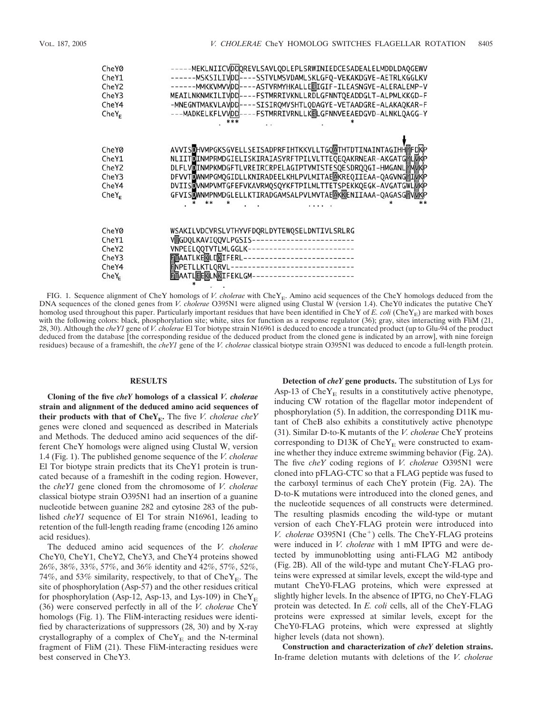| CheY0<br>CheY1<br>CheY <sub>2</sub><br>CheY3<br>CheY4<br>$CheY_F$ | -----MEKLNIICVDDQREVLSAVLQDLEPLSRWINIEDCESADEALELMDDLDAQGEWV<br>------MSKSILIVDD----SSTVLMSVDAMLSKLGFQ-VEKAKDGVE-AETRLKGGLKV<br>-ASTVRMYHKALLEEIGIF-ILEASNGVE-ALERALEMP-V<br>------MMKKVMVVDD---<br>MEAILNKNMKILIVDD----FSTMRRIVKNLLRDLGFNNTQEADDGLT-ALPMLKKGD-F<br>-MNEGNTMAKVLAVDD ---- SISIROMVSHTLODAGYE-VETAADGRE-ALAKAOKAR-F<br>---MADKELKFLVVDD----FSTMRRIVRNLLKELGFNNVEEAEDGVD-ALNKLOAGG-Y<br>*** |
|-------------------------------------------------------------------|-----------------------------------------------------------------------------------------------------------------------------------------------------------------------------------------------------------------------------------------------------------------------------------------------------------------------------------------------------------------------------------------------------------|
|                                                                   |                                                                                                                                                                                                                                                                                                                                                                                                           |
| CheY0                                                             | AVVISDHVMPGKSGVELLSEISADPRFIHTKKVLLTGOATHTDTINAINTAGIHHMFDRP                                                                                                                                                                                                                                                                                                                                              |
| CheY1                                                             | NLIITOINMPRMDGIELISKIRAIASYRFTPILVLTTEQEQAKRNEAR-AKGATGMLMKP                                                                                                                                                                                                                                                                                                                                              |
| CheY <sub>2</sub>                                                 | DLFLVDINMPKMDGFTLVREIRCRPELAGIPTVMISTESQESDRQQGI-HMGANLYMWKP                                                                                                                                                                                                                                                                                                                                              |
| CheY3                                                             | DFVVTDWNMPGMQGIDLLKNIRADEELKHLPVLMITAEMKREQIIEAA-QAGVNGYIMKP                                                                                                                                                                                                                                                                                                                                              |
| CheY4                                                             | DVIISDVNMPVMTGFEFVKAVRMQSQYKFTPILMLTTETSPEKKQEGK-AVGATGWLMKP                                                                                                                                                                                                                                                                                                                                              |
| CheY <sub>F</sub>                                                 | GFVISDWNMPNMDGLELLKTIRADGAMSALPVLMVTAEAKEENIIAAA-QAGASGYWKP                                                                                                                                                                                                                                                                                                                                               |
|                                                                   |                                                                                                                                                                                                                                                                                                                                                                                                           |
| CheY0                                                             | WSAKILVDCVRSLVTHYVFDQRLDYTEWQSELDNTIVLSRLRG                                                                                                                                                                                                                                                                                                                                                               |
| CheY1                                                             | VMGDOLKAVIOOVLPGSIS-------------------------                                                                                                                                                                                                                                                                                                                                                              |
| CheY <sub>2</sub>                                                 | VNPEELQQTVTLMLGGLK--------------------------                                                                                                                                                                                                                                                                                                                                                              |
| CheY <sub>3</sub>                                                 | FTTAATLKEKLDKIFERL--------------------------                                                                                                                                                                                                                                                                                                                                                              |
| CheY4                                                             | ----------------------------<br><b>ENPETLLKTLORVL-</b>                                                                                                                                                                                                                                                                                                                                                    |
| $CheY_F$                                                          | FITAATLEEKLNKIFEKLGM-------------------------                                                                                                                                                                                                                                                                                                                                                             |

FIG. 1. Sequence alignment of CheY homologs of *V. cholerae* with CheY<sub>E</sub>. Amino acid sequences of the CheY homologs deduced from the DNA sequences of the cloned genes from *V. cholerae* O395N1 were aligned using Clustal W (version 1.4). CheY0 indicates the putative CheY homolog used throughout this paper. Particularly important residues that have been identified in CheY of  $E$ . *coli* (CheY<sub>E</sub>) are marked with boxes with the following colors: black, phosphorylation site; white, sites for function as a response regulator (36); gray, sites interacting with FliM (21, 28, 30). Although the *cheY1* gene of *V. cholerae* El Tor biotype strain N16961 is deduced to encode a truncated product (up to Glu-94 of the product deduced from the database [the corresponding residue of the deduced product from the cloned gene is indicated by an arrow], with nine foreign residues) because of a frameshift, the *cheY1* gene of the *V. cholerae* classical biotype strain O395N1 was deduced to encode a full-length protein.

# **RESULTS**

**Cloning of the five** *cheY* **homologs of a classical** *V. cholerae* **strain and alignment of the deduced amino acid sequences of their products with that of**  $CheY_E$ **.** The five *V. cholerae cheY* genes were cloned and sequenced as described in Materials and Methods. The deduced amino acid sequences of the different CheY homologs were aligned using Clustal W, version 1.4 (Fig. 1). The published genome sequence of the *V. cholerae* El Tor biotype strain predicts that its CheY1 protein is truncated because of a frameshift in the coding region. However, the *cheY1* gene cloned from the chromosome of *V. cholerae* classical biotype strain O395N1 had an insertion of a guanine nucleotide between guanine 282 and cytosine 283 of the published *cheY1* sequence of El Tor strain N16961, leading to retention of the full-length reading frame (encoding 126 amino acid residues).

The deduced amino acid sequences of the *V. cholerae* CheY0, CheY1, CheY2, CheY3, and CheY4 proteins showed 26%, 38%, 33%, 57%, and 36% identity and 42%, 57%, 52%, 74%, and 53% similarity, respectively, to that of  $CheY_{E}$ . The site of phosphorylation (Asp-57) and the other residues critical for phosphorylation (Asp-12, Asp-13, and Lys-109) in Che $Y_E$ (36) were conserved perfectly in all of the *V. cholerae* CheY homologs (Fig. 1). The FliM-interacting residues were identified by characterizations of suppressors (28, 30) and by X-ray crystallography of a complex of  $CheY<sub>E</sub>$  and the N-terminal fragment of FliM (21). These FliM-interacting residues were best conserved in CheY3.

**Detection of** *cheY* **gene products.** The substitution of Lys for Asp-13 of Che $Y_E$  results in a constitutively active phenotype, inducing CW rotation of the flagellar motor independent of phosphorylation (5). In addition, the corresponding D11K mutant of CheB also exhibits a constitutively active phenotype (31). Similar D-to-K mutants of the *V. cholerae* CheY proteins corresponding to D13K of  $CheY<sub>E</sub>$  were constructed to examine whether they induce extreme swimming behavior (Fig. 2A). The five *cheY* coding regions of *V. cholerae* O395N1 were cloned into pFLAG-CTC so that a FLAG peptide was fused to the carboxyl terminus of each CheY protein (Fig. 2A). The D-to-K mutations were introduced into the cloned genes, and the nucleotide sequences of all constructs were determined. The resulting plasmids encoding the wild-type or mutant version of each CheY-FLAG protein were introduced into *V. cholerae* O395N1 (Che<sup>+</sup>) cells. The CheY-FLAG proteins were induced in *V. cholerae* with 1 mM IPTG and were detected by immunoblotting using anti-FLAG M2 antibody (Fig. 2B). All of the wild-type and mutant CheY-FLAG proteins were expressed at similar levels, except the wild-type and mutant CheY0-FLAG proteins, which were expressed at slightly higher levels. In the absence of IPTG, no CheY-FLAG protein was detected. In *E. coli* cells, all of the CheY-FLAG proteins were expressed at similar levels, except for the CheY0-FLAG proteins, which were expressed at slightly higher levels (data not shown).

**Construction and characterization of** *cheY* **deletion strains.** In-frame deletion mutants with deletions of the *V. cholerae*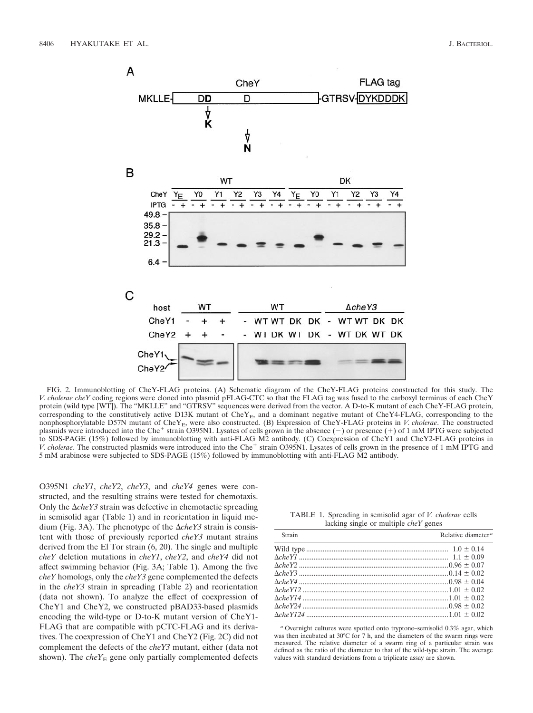

FIG. 2. Immunoblotting of CheY-FLAG proteins. (A) Schematic diagram of the CheY-FLAG proteins constructed for this study. The *V. cholerae cheY* coding regions were cloned into plasmid pFLAG-CTC so that the FLAG tag was fused to the carboxyl terminus of each CheY protein (wild type [WT]). The "MKLLE" and "GTRSV" sequences were derived from the vector. A D-to-K mutant of each CheY-FLAG protein, corresponding to the constitutively active D13K mutant of  $CheY<sub>E</sub>$ , and a dominant negative mutant of  $CheY<sub>4</sub>-ELAG$ , corresponding to the nonphosphorylatable D57N mutant of CheY<sub>E</sub>, were also constructed. (B) Expression of CheY-FLAG proteins in *V. cholerae*. The constructed plasmids were introduced into the Che<sup>+</sup> strain O395N1. Lysates of cells grown in the absence (-) or presence (+) of 1 mM IPTG were subjected to SDS-PAGE (15%) followed by immunoblotting with anti-FLAG M2 antibody. (C) Coexpression of CheY1 and CheY2-FLAG proteins in *V. cholerae*. The constructed plasmids were introduced into the Che<sup>+</sup> strain O395N1. Lysates of cells grown in the presence of 1 mM IPTG and 5 mM arabinose were subjected to SDS-PAGE (15%) followed by immunoblotting with anti-FLAG M2 antibody.

O395N1 *cheY1*, *cheY2*, *cheY3*, and *cheY4* genes were constructed, and the resulting strains were tested for chemotaxis. Only the  $\Delta$ *cheY3* strain was defective in chemotactic spreading in semisolid agar (Table 1) and in reorientation in liquid medium (Fig. 3A). The phenotype of the  $\Delta$ *cheY3* strain is consistent with those of previously reported *cheY3* mutant strains derived from the El Tor strain (6, 20). The single and multiple *cheY* deletion mutations in *cheY1*, *cheY2*, and *cheY4* did not affect swimming behavior (Fig. 3A; Table 1). Among the five *cheY* homologs, only the *cheY3* gene complemented the defects in the *cheY3* strain in spreading (Table 2) and reorientation (data not shown). To analyze the effect of coexpression of CheY1 and CheY2, we constructed pBAD33-based plasmids encoding the wild-type or D-to-K mutant version of CheY1- FLAG that are compatible with pCTC-FLAG and its derivatives. The coexpression of CheY1 and CheY2 (Fig. 2C) did not complement the defects of the *cheY3* mutant, either (data not shown). The  $cheY_E$  gene only partially complemented defects

TABLE 1. Spreading in semisolid agar of *V. cholerae* cells lacking single or multiple *cheY* genes

| Strain | Relative diameter <sup>a</sup> |
|--------|--------------------------------|
|        |                                |
|        |                                |
|        |                                |
|        |                                |
|        |                                |
|        |                                |
|        |                                |
|        |                                |
|        |                                |
|        |                                |

*<sup>a</sup>* Overnight cultures were spotted onto tryptone–semisolid 0.3% agar, which was then incubated at 30°C for 7 h, and the diameters of the swarm rings were measured. The relative diameter of a swarm ring of a particular strain was defined as the ratio of the diameter to that of the wild-type strain. The average values with standard deviations from a triplicate assay are shown.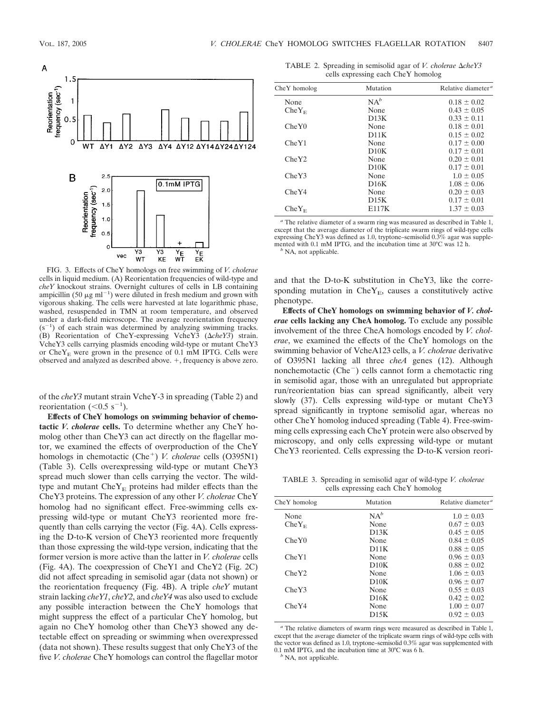

FIG. 3. Effects of CheY homologs on free swimming of *V. cholerae* cells in liquid medium. (A) Reorientation frequencies of wild-type and *cheY* knockout strains. Overnight cultures of cells in LB containing ampicillin (50  $\mu$ g ml<sup>-1</sup>) were diluted in fresh medium and grown with vigorous shaking. The cells were harvested at late logarithmic phase, washed, resuspended in TMN at room temperature, and observed under a dark-field microscope. The average reorientation frequency  $(s^{-1})$  of each strain was determined by analyzing swimming tracks. (B) Reorientation of CheY-expressing VcheY3 ( $\triangle$ *cheY3*) strain. VcheY3 cells carrying plasmids encoding wild-type or mutant CheY3 or  $CheY<sub>E</sub>$  were grown in the presence of 0.1 mM IPTG. Cells were observed and analyzed as described above.  $+$ , frequency is above zero.

of the *cheY3* mutant strain VcheY-3 in spreading (Table 2) and reorientation  $(<0.5 \text{ s}^{-1})$ .

**Effects of CheY homologs on swimming behavior of chemotactic** *V. cholerae* **cells.** To determine whether any CheY homolog other than CheY3 can act directly on the flagellar motor, we examined the effects of overproduction of the CheY homologs in chemotactic (Che<sup>+</sup>) *V. cholerae* cells (O395N1) (Table 3). Cells overexpressing wild-type or mutant CheY3 spread much slower than cells carrying the vector. The wildtype and mutant  $CheY<sub>E</sub>$  proteins had milder effects than the CheY3 proteins. The expression of any other *V. cholerae* CheY homolog had no significant effect. Free-swimming cells expressing wild-type or mutant CheY3 reoriented more frequently than cells carrying the vector (Fig. 4A). Cells expressing the D-to-K version of CheY3 reoriented more frequently than those expressing the wild-type version, indicating that the former version is more active than the latter in *V. cholerae* cells (Fig. 4A). The coexpression of CheY1 and CheY2 (Fig. 2C) did not affect spreading in semisolid agar (data not shown) or the reorientation frequency (Fig. 4B). A triple *cheY* mutant strain lacking *cheY1*, *cheY2*, and *cheY4* was also used to exclude any possible interaction between the CheY homologs that might suppress the effect of a particular CheY homolog, but again no CheY homolog other than CheY3 showed any detectable effect on spreading or swimming when overexpressed (data not shown). These results suggest that only CheY3 of the five *V. cholerae* CheY homologs can control the flagellar motor

TABLE 2. Spreading in semisolid agar of *V. cholerae*  $\Delta$ *cheY3* cells expressing each CheY homolog

| CheY homolog   | Mutation     | Relative diameter <sup>a</sup> |
|----------------|--------------|--------------------------------|
| None           | $NA^b$       | $0.18 \pm 0.02$                |
| $CheY_{\rm E}$ | None         | $0.43 \pm 0.05$                |
|                | D13K         | $0.33 \pm 0.11$                |
| CheY0          | None         | $0.18 \pm 0.01$                |
|                | D11K         | $0.15 \pm 0.02$                |
| CheY1          | None         | $0.17 \pm 0.00$                |
|                | D10K         | $0.17 \pm 0.01$                |
| CheY2          | None         | $0.20 \pm 0.01$                |
|                | D10K         | $0.17 \pm 0.01$                |
| CheY3          | None         | $1.0 \pm 0.05$                 |
|                | D16K         | $1.08 \pm 0.06$                |
| CheY4          | None         | $0.20 \pm 0.03$                |
|                | D15K         | $0.17 \pm 0.01$                |
| $CheY_{\rm E}$ | <b>E117K</b> | $1.37 \pm 0.03$                |

*<sup>a</sup>* The relative diameter of a swarm ring was measured as described in Table 1, except that the average diameter of the triplicate swarm rings of wild-type cells expressing CheY3 was defined as 1.0, tryptone–semisolid 0.3% agar was supplemented with 0.1 mM IPTG, and the incubation time at 30°C was 12 h. *<sup>b</sup>* NA, not applicable.

and that the D-to-K substitution in CheY3, like the corresponding mutation in  $CheY_E$ , causes a constitutively active phenotype.

**Effects of CheY homologs on swimming behavior of** *V. cholerae* **cells lacking any CheA homolog.** To exclude any possible involvement of the three CheA homologs encoded by *V. cholerae*, we examined the effects of the CheY homologs on the swimming behavior of VcheA123 cells, a *V. cholerae* derivative of O395N1 lacking all three *cheA* genes (12). Although nonchemotactic  $(Che^{-})$  cells cannot form a chemotactic ring in semisolid agar, those with an unregulated but appropriate run/reorientation bias can spread significantly, albeit very slowly (37). Cells expressing wild-type or mutant CheY3 spread significantly in tryptone semisolid agar, whereas no other CheY homolog induced spreading (Table 4). Free-swimming cells expressing each CheY protein were also observed by microscopy, and only cells expressing wild-type or mutant CheY3 reoriented. Cells expressing the D-to-K version reori-

TABLE 3. Spreading in semisolid agar of wild-type *V. cholerae* cells expressing each CheY homolog

| CheY homolog   | Mutation | Relative diameter <sup>a</sup> |
|----------------|----------|--------------------------------|
| None           | $NA^b$   | $1.0 \pm 0.03$                 |
| $CheY_{\rm E}$ | None     | $0.67 \pm 0.03$                |
|                | D13K     | $0.45 \pm 0.05$                |
| CheY0          | None     | $0.84 \pm 0.05$                |
|                | D11K     | $0.88 \pm 0.05$                |
| CheY1          | None     | $0.96 \pm 0.03$                |
|                | D10K     | $0.88 \pm 0.02$                |
| CheY2          | None     | $1.06 \pm 0.03$                |
|                | D10K     | $0.96 \pm 0.07$                |
| CheY3          | None     | $0.55 \pm 0.03$                |
|                | D16K     | $0.42 \pm 0.02$                |
| CheY4          | None     | $1.00 \pm 0.07$                |
|                | D15K     | $0.92 \pm 0.03$                |
|                |          |                                |

*<sup>a</sup>* The relative diameters of swarm rings were measured as described in Table 1, except that the average diameter of the triplicate swarm rings of wild-type cells with the vector was defined as 1.0, tryptone–semisolid 0.3% agar was supplemented with 0.1 mM IPTG, and the incubation time at 30°C was 6 h. *<sup>b</sup>* NA, not applicable.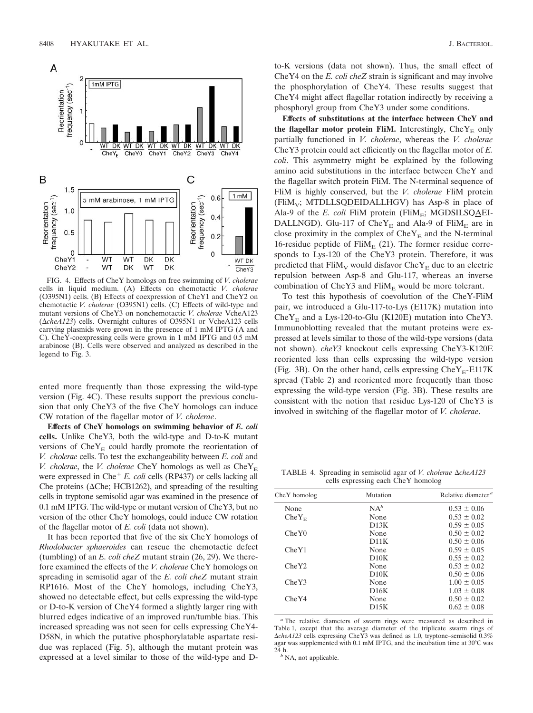

FIG. 4. Effects of CheY homologs on free swimming of *V. cholerae* cells in liquid medium. (A) Effects on chemotactic *V. cholerae* (O395N1) cells. (B) Effects of coexpression of CheY1 and CheY2 on chemotactic *V. cholerae* (O395N1) cells. (C) Effects of wild-type and mutant versions of CheY3 on nonchemotactic *V. cholerae* VcheA123 ( $\triangle$ *cheA123*) cells. Overnight cultures of O395N1 or VcheA123 cells carrying plasmids were grown in the presence of 1 mM IPTG (A and C). CheY-coexpressing cells were grown in 1 mM IPTG and 0.5 mM arabinose (B). Cells were observed and analyzed as described in the legend to Fig. 3.

ented more frequently than those expressing the wild-type version (Fig. 4C). These results support the previous conclusion that only CheY3 of the five CheY homologs can induce CW rotation of the flagellar motor of *V. cholerae*.

**Effects of CheY homologs on swimming behavior of** *E. coli* **cells.** Unlike CheY3, both the wild-type and D-to-K mutant versions of  $CheY<sub>E</sub>$  could hardly promote the reorientation of *V. cholerae* cells. To test the exchangeability between *E. coli* and *V. cholerae*, the *V. cholerae* CheY homologs as well as  $CheY<sub>E</sub>$ were expressed in Che<sup>+</sup> E. coli cells (RP437) or cells lacking all Che proteins ( $\Delta$ Che; HCB1262), and spreading of the resulting cells in tryptone semisolid agar was examined in the presence of 0.1 mM IPTG. The wild-type or mutant version of CheY3, but no version of the other CheY homologs, could induce CW rotation of the flagellar motor of *E. coli* (data not shown).

It has been reported that five of the six CheY homologs of *Rhodobacter sphaeroides* can rescue the chemotactic defect (tumbling) of an *E. coli cheZ* mutant strain (26, 29). We therefore examined the effects of the *V. cholerae* CheY homologs on spreading in semisolid agar of the *E. coli cheZ* mutant strain RP1616. Most of the CheY homologs, including CheY3, showed no detectable effect, but cells expressing the wild-type or D-to-K version of CheY4 formed a slightly larger ring with blurred edges indicative of an improved run/tumble bias. This increased spreading was not seen for cells expressing CheY4- D58N, in which the putative phosphorylatable aspartate residue was replaced (Fig. 5), although the mutant protein was expressed at a level similar to those of the wild-type and D-

to-K versions (data not shown). Thus, the small effect of CheY4 on the *E. coli cheZ* strain is significant and may involve the phosphorylation of CheY4. These results suggest that CheY4 might affect flagellar rotation indirectly by receiving a phosphoryl group from CheY3 under some conditions.

**Effects of substitutions at the interface between CheY and the flagellar motor protein FliM.** Interestingly,  $CheY<sub>E</sub>$  only partially functioned in *V. cholerae*, whereas the *V. cholerae* CheY3 protein could act efficiently on the flagellar motor of *E. coli*. This asymmetry might be explained by the following amino acid substitutions in the interface between CheY and the flagellar switch protein FliM. The N-terminal sequence of FliM is highly conserved, but the *V. cholerae* FliM protein  $(FliM_v; MTDLLSQDEIDALLHGV)$  has Asp-8 in place of Ala-9 of the  $E$ . coli FliM protein (FliM<sub>E</sub>; MGDSILSQAEI-DALLNGD). Glu-117 of  $CheY_{E}$  and Ala-9 of FliM<sub>E</sub> are in close proximity in the complex of  $CheY<sub>E</sub>$  and the N-terminal 16-residue peptide of  $Flim_{E} (21)$ . The former residue corresponds to Lys-120 of the CheY3 protein. Therefore, it was predicted that  $\text{FliM}_{\text{V}}$  would disfavor  $\text{CheY}_{\text{E}}$  due to an electric repulsion between Asp-8 and Glu-117, whereas an inverse combination of CheY3 and  $\text{FliM}_E$  would be more tolerant.

To test this hypothesis of coevolution of the CheY-FliM pair, we introduced a Glu-117-to-Lys (E117K) mutation into Che $Y_E$  and a Lys-120-to-Glu (K120E) mutation into CheY3. Immunoblotting revealed that the mutant proteins were expressed at levels similar to those of the wild-type versions (data not shown). *cheY3* knockout cells expressing CheY3-K120E reoriented less than cells expressing the wild-type version (Fig. 3B). On the other hand, cells expressing  $CheY<sub>E</sub>$ -E117K spread (Table 2) and reoriented more frequently than those expressing the wild-type version (Fig. 3B). These results are consistent with the notion that residue Lys-120 of CheY3 is involved in switching of the flagellar motor of *V. cholerae*.

TABLE 4. Spreading in semisolid agar of *V. cholerae*  $\Delta$ *cheA123* cells expressing each CheY homolog

| CheY homolog      | Mutation | Relative diameter <sup>a</sup> |
|-------------------|----------|--------------------------------|
| None              | $NA^b$   | $0.53 \pm 0.06$                |
| CheY <sub>E</sub> | None     | $0.53 \pm 0.02$                |
|                   | D13K     | $0.59 \pm 0.05$                |
| CheY0             | None     | $0.50 \pm 0.02$                |
|                   | D11K     | $0.50 \pm 0.06$                |
| CheY1             | None     | $0.59 \pm 0.05$                |
|                   | D10K     | $0.55 \pm 0.02$                |
| CheY2             | None     | $0.53 \pm 0.02$                |
|                   | D10K     | $0.50 \pm 0.06$                |
| CheY3             | None     | $1.00 \pm 0.05$                |
|                   | D16K     | $1.03 \pm 0.08$                |
| CheY4             | None     | $0.50 \pm 0.02$                |
|                   | D15K     | $0.62 \pm 0.08$                |
|                   |          |                                |

*<sup>a</sup>* The relative diameters of swarm rings were measured as described in Table 1, except that the average diameter of the triplicate swarm rings of -*cheA123* cells expressing CheY3 was defined as 1.0, tryptone–semisolid 0.3% agar was supplemented with  $0.1 \text{ mM IPTG}$ , and the incubation time at 30°C was 24 h.

<sup>*b*</sup> NA, not applicable.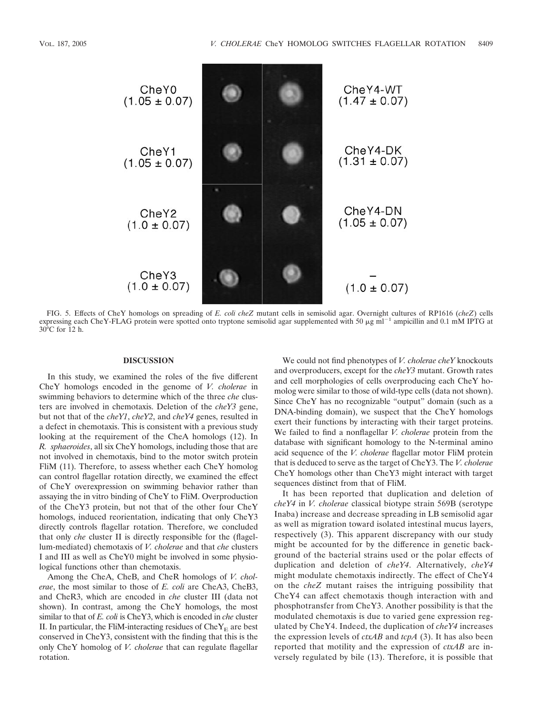

FIG. 5. Effects of CheY homologs on spreading of *E. coli cheZ* mutant cells in semisolid agar. Overnight cultures of RP1616 (*cheZ*) cells expressing each CheY-FLAG protein were spotted onto tryptone semisolid agar supplemented with 50  $\mu$ g ml<sup>-1</sup> ampicillin and 0.1 mM IPTG at 30°C for 12 h.

## **DISCUSSION**

In this study, we examined the roles of the five different CheY homologs encoded in the genome of *V. cholerae* in swimming behaviors to determine which of the three *che* clusters are involved in chemotaxis. Deletion of the *cheY3* gene, but not that of the *cheY1*, *cheY2*, and *cheY4* genes, resulted in a defect in chemotaxis. This is consistent with a previous study looking at the requirement of the CheA homologs (12). In *R. sphaeroides*, all six CheY homologs, including those that are not involved in chemotaxis, bind to the motor switch protein FliM (11). Therefore, to assess whether each CheY homolog can control flagellar rotation directly, we examined the effect of CheY overexpression on swimming behavior rather than assaying the in vitro binding of CheY to FliM. Overproduction of the CheY3 protein, but not that of the other four CheY homologs, induced reorientation, indicating that only CheY3 directly controls flagellar rotation. Therefore, we concluded that only *che* cluster II is directly responsible for the (flagellum-mediated) chemotaxis of *V. cholerae* and that *che* clusters I and III as well as CheY0 might be involved in some physiological functions other than chemotaxis.

Among the CheA, CheB, and CheR homologs of *V. cholerae*, the most similar to those of *E. coli* are CheA3, CheB3, and CheR3, which are encoded in *che* cluster III (data not shown). In contrast, among the CheY homologs, the most similar to that of *E. coli* is CheY3, which is encoded in *che* cluster II. In particular, the FliM-interacting residues of  $CheY<sub>E</sub>$  are best conserved in CheY3, consistent with the finding that this is the only CheY homolog of *V. cholerae* that can regulate flagellar rotation.

We could not find phenotypes of *V. cholerae cheY* knockouts and overproducers, except for the *cheY3* mutant. Growth rates and cell morphologies of cells overproducing each CheY homolog were similar to those of wild-type cells (data not shown). Since CheY has no recognizable "output" domain (such as a DNA-binding domain), we suspect that the CheY homologs exert their functions by interacting with their target proteins. We failed to find a nonflagellar *V. cholerae* protein from the database with significant homology to the N-terminal amino acid sequence of the *V. cholerae* flagellar motor FliM protein that is deduced to serve as the target of CheY3. The *V. cholerae* CheY homologs other than CheY3 might interact with target sequences distinct from that of FliM.

It has been reported that duplication and deletion of *cheY4* in *V. cholerae* classical biotype strain 569B (serotype Inaba) increase and decrease spreading in LB semisolid agar as well as migration toward isolated intestinal mucus layers, respectively (3). This apparent discrepancy with our study might be accounted for by the difference in genetic background of the bacterial strains used or the polar effects of duplication and deletion of *cheY4*. Alternatively, *cheY4* might modulate chemotaxis indirectly. The effect of CheY4 on the *cheZ* mutant raises the intriguing possibility that CheY4 can affect chemotaxis though interaction with and phosphotransfer from CheY3. Another possibility is that the modulated chemotaxis is due to varied gene expression regulated by CheY4. Indeed, the duplication of *cheY4* increases the expression levels of *ctxAB* and *tcpA* (3). It has also been reported that motility and the expression of *ctxAB* are inversely regulated by bile (13). Therefore, it is possible that